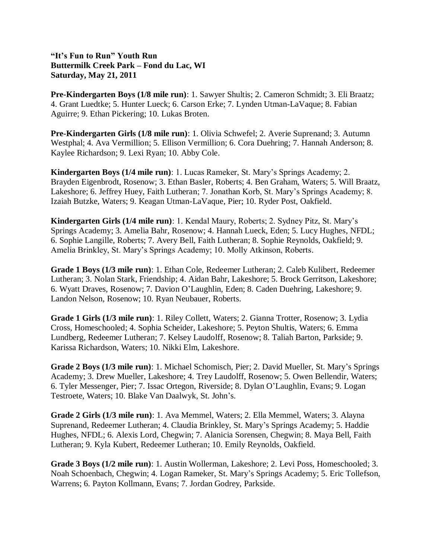## **"It's Fun to Run" Youth Run Buttermilk Creek Park – Fond du Lac, WI Saturday, May 21, 2011**

**Pre-Kindergarten Boys (1/8 mile run)**: 1. Sawyer Shultis; 2. Cameron Schmidt; 3. Eli Braatz; 4. Grant Luedtke; 5. Hunter Lueck; 6. Carson Erke; 7. Lynden Utman-LaVaque; 8. Fabian Aguirre; 9. Ethan Pickering; 10. Lukas Broten.

**Pre-Kindergarten Girls (1/8 mile run)**: 1. Olivia Schwefel; 2. Averie Suprenand; 3. Autumn Westphal; 4. Ava Vermillion; 5. Ellison Vermillion; 6. Cora Duehring; 7. Hannah Anderson; 8. Kaylee Richardson; 9. Lexi Ryan; 10. Abby Cole.

**Kindergarten Boys (1/4 mile run)**: 1. Lucas Rameker, St. Mary's Springs Academy; 2. Brayden Eigenbrodt, Rosenow; 3. Ethan Basler, Roberts; 4. Ben Graham, Waters; 5. Will Braatz, Lakeshore; 6. Jeffrey Huey, Faith Lutheran; 7. Jonathan Korb, St. Mary's Springs Academy; 8. Izaiah Butzke, Waters; 9. Keagan Utman-LaVaque, Pier; 10. Ryder Post, Oakfield.

**Kindergarten Girls (1/4 mile run)**: 1. Kendal Maury, Roberts; 2. Sydney Pitz, St. Mary's Springs Academy; 3. Amelia Bahr, Rosenow; 4. Hannah Lueck, Eden; 5. Lucy Hughes, NFDL; 6. Sophie Langille, Roberts; 7. Avery Bell, Faith Lutheran; 8. Sophie Reynolds, Oakfield; 9. Amelia Brinkley, St. Mary's Springs Academy; 10. Molly Atkinson, Roberts.

**Grade 1 Boys (1/3 mile run)**: 1. Ethan Cole, Redeemer Lutheran; 2. Caleb Kulibert, Redeemer Lutheran; 3. Nolan Stark, Friendship; 4. Aidan Bahr, Lakeshore; 5. Brock Gerritson, Lakeshore; 6. Wyatt Draves, Rosenow; 7. Davion O'Laughlin, Eden; 8. Caden Duehring, Lakeshore; 9. Landon Nelson, Rosenow; 10. Ryan Neubauer, Roberts.

**Grade 1 Girls (1/3 mile run)**: 1. Riley Collett, Waters; 2. Gianna Trotter, Rosenow; 3. Lydia Cross, Homeschooled; 4. Sophia Scheider, Lakeshore; 5. Peyton Shultis, Waters; 6. Emma Lundberg, Redeemer Lutheran; 7. Kelsey Laudolff, Rosenow; 8. Taliah Barton, Parkside; 9. Karissa Richardson, Waters; 10. Nikki Elm, Lakeshore.

**Grade 2 Boys (1/3 mile run)**: 1. Michael Schomisch, Pier; 2. David Mueller, St. Mary's Springs Academy; 3. Drew Mueller, Lakeshore; 4. Trey Laudolff, Rosenow; 5. Owen Bellendir, Waters; 6. Tyler Messenger, Pier; 7. Issac Ortegon, Riverside; 8. Dylan O'Laughlin, Evans; 9. Logan Testroete, Waters; 10. Blake Van Daalwyk, St. John's.

**Grade 2 Girls (1/3 mile run)**: 1. Ava Memmel, Waters; 2. Ella Memmel, Waters; 3. Alayna Suprenand, Redeemer Lutheran; 4. Claudia Brinkley, St. Mary's Springs Academy; 5. Haddie Hughes, NFDL; 6. Alexis Lord, Chegwin; 7. Alanicia Sorensen, Chegwin; 8. Maya Bell, Faith Lutheran; 9. Kyla Kubert, Redeemer Lutheran; 10. Emily Reynolds, Oakfield.

**Grade 3 Boys (1/2 mile run)**: 1. Austin Wollerman, Lakeshore; 2. Levi Poss, Homeschooled; 3. Noah Schoenbach, Chegwin; 4. Logan Rameker, St. Mary's Springs Academy; 5. Eric Tollefson, Warrens; 6. Payton Kollmann, Evans; 7. Jordan Godrey, Parkside.